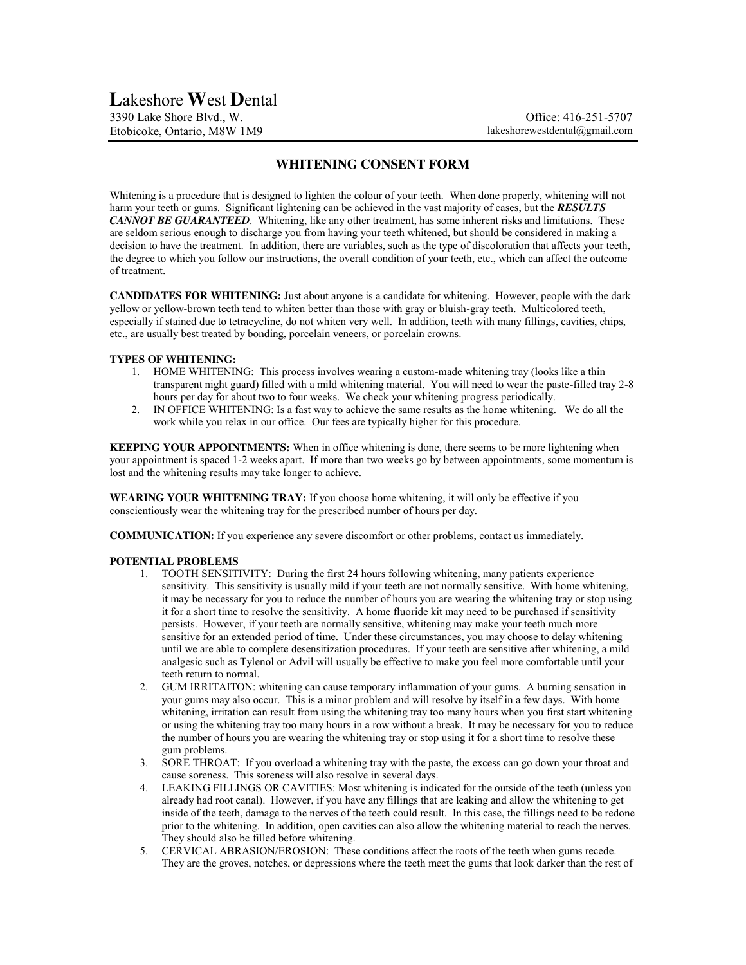## **WHITENING CONSENT FORM**

Whitening is a procedure that is designed to lighten the colour of your teeth. When done properly, whitening will not harm your teeth or gums. Significant lightening can be achieved in the vast majority of cases, but the *RESULTS CANNOT BE GUARANTEED*. Whitening, like any other treatment, has some inherent risks and limitations. These are seldom serious enough to discharge you from having your teeth whitened, but should be considered in making a decision to have the treatment. In addition, there are variables, such as the type of discoloration that affects your teeth, the degree to which you follow our instructions, the overall condition of your teeth, etc., which can affect the outcome of treatment.

**CANDIDATES FOR WHITENING:** Just about anyone is a candidate for whitening. However, people with the dark yellow or yellow-brown teeth tend to whiten better than those with gray or bluish-gray teeth. Multicolored teeth, especially if stained due to tetracycline, do not whiten very well. In addition, teeth with many fillings, cavities, chips, etc., are usually best treated by bonding, porcelain veneers, or porcelain crowns.

## **TYPES OF WHITENING:**

- 1. HOME WHITENING: This process involves wearing a custom-made whitening tray (looks like a thin transparent night guard) filled with a mild whitening material. You will need to wear the paste-filled tray 2-8 hours per day for about two to four weeks. We check your whitening progress periodically.
- 2. IN OFFICE WHITENING: Is a fast way to achieve the same results as the home whitening. We do all the work while you relax in our office. Our fees are typically higher for this procedure.

**KEEPING YOUR APPOINTMENTS:** When in office whitening is done, there seems to be more lightening when your appointment is spaced 1-2 weeks apart. If more than two weeks go by between appointments, some momentum is lost and the whitening results may take longer to achieve.

**WEARING YOUR WHITENING TRAY:** If you choose home whitening, it will only be effective if you conscientiously wear the whitening tray for the prescribed number of hours per day.

**COMMUNICATION:** If you experience any severe discomfort or other problems, contact us immediately.

## **POTENTIAL PROBLEMS**

- 1. TOOTH SENSITIVITY: During the first 24 hours following whitening, many patients experience sensitivity. This sensitivity is usually mild if your teeth are not normally sensitive. With home whitening, it may be necessary for you to reduce the number of hours you are wearing the whitening tray or stop using it for a short time to resolve the sensitivity. A home fluoride kit may need to be purchased if sensitivity persists. However, if your teeth are normally sensitive, whitening may make your teeth much more sensitive for an extended period of time. Under these circumstances, you may choose to delay whitening until we are able to complete desensitization procedures. If your teeth are sensitive after whitening, a mild analgesic such as Tylenol or Advil will usually be effective to make you feel more comfortable until your teeth return to normal.
- 2. GUM IRRITAITON: whitening can cause temporary inflammation of your gums. A burning sensation in your gums may also occur. This is a minor problem and will resolve by itself in a few days. With home whitening, irritation can result from using the whitening tray too many hours when you first start whitening or using the whitening tray too many hours in a row without a break. It may be necessary for you to reduce the number of hours you are wearing the whitening tray or stop using it for a short time to resolve these gum problems.
- 3. SORE THROAT: If you overload a whitening tray with the paste, the excess can go down your throat and cause soreness. This soreness will also resolve in several days.
- 4. LEAKING FILLINGS OR CAVITIES: Most whitening is indicated for the outside of the teeth (unless you already had root canal). However, if you have any fillings that are leaking and allow the whitening to get inside of the teeth, damage to the nerves of the teeth could result. In this case, the fillings need to be redone prior to the whitening. In addition, open cavities can also allow the whitening material to reach the nerves. They should also be filled before whitening.
- 5. CERVICAL ABRASION/EROSION: These conditions affect the roots of the teeth when gums recede. They are the groves, notches, or depressions where the teeth meet the gums that look darker than the rest of